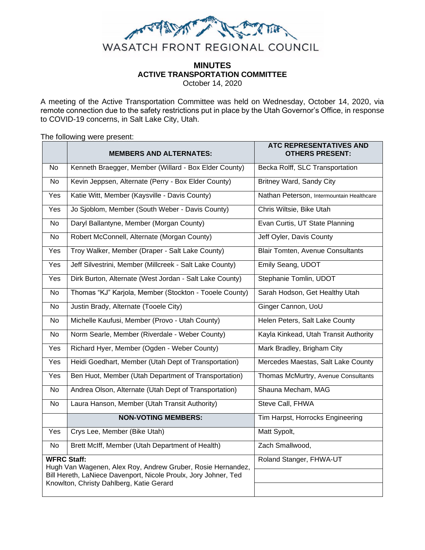

# **MINUTES ACTIVE TRANSPORTATION COMMITTEE**

October 14, 2020

A meeting of the Active Transportation Committee was held on Wednesday, October 14, 2020, via remote connection due to the safety restrictions put in place by the Utah Governor's Office, in response to COVID-19 concerns, in Salt Lake City, Utah.

The following were present:

|                                                                                                             | <b>MEMBERS AND ALTERNATES:</b>                          | <b>ATC REPRESENTATIVES AND</b><br><b>OTHERS PRESENT:</b> |
|-------------------------------------------------------------------------------------------------------------|---------------------------------------------------------|----------------------------------------------------------|
| No                                                                                                          | Kenneth Braegger, Member (Willard - Box Elder County)   | Becka Rolff, SLC Transportation                          |
| <b>No</b>                                                                                                   | Kevin Jeppsen, Alternate (Perry - Box Elder County)     | Britney Ward, Sandy City                                 |
| Yes                                                                                                         | Katie Witt, Member (Kaysville - Davis County)           | Nathan Peterson, Intermountain Healthcare                |
| <b>Yes</b>                                                                                                  | Jo Sjoblom, Member (South Weber - Davis County)         | Chris Wiltsie, Bike Utah                                 |
| No.                                                                                                         | Daryl Ballantyne, Member (Morgan County)                | Evan Curtis, UT State Planning                           |
| <b>No</b>                                                                                                   | Robert McConnell, Alternate (Morgan County)             | Jeff Oyler, Davis County                                 |
| Yes                                                                                                         | Troy Walker, Member (Draper - Salt Lake County)         | <b>Blair Tomten, Avenue Consultants</b>                  |
| Yes                                                                                                         | Jeff Silvestrini, Member (Millcreek - Salt Lake County) | Emily Seang, UDOT                                        |
| Yes                                                                                                         | Dirk Burton, Alternate (West Jordan - Salt Lake County) | Stephanie Tomlin, UDOT                                   |
| No.                                                                                                         | Thomas "KJ" Karjola, Member (Stockton - Tooele County)  | Sarah Hodson, Get Healthy Utah                           |
| <b>No</b>                                                                                                   | Justin Brady, Alternate (Tooele City)                   | Ginger Cannon, UoU                                       |
| <b>No</b>                                                                                                   | Michelle Kaufusi, Member (Provo - Utah County)          | Helen Peters, Salt Lake County                           |
| <b>No</b>                                                                                                   | Norm Searle, Member (Riverdale - Weber County)          | Kayla Kinkead, Utah Transit Authority                    |
| Yes                                                                                                         | Richard Hyer, Member (Ogden - Weber County)             | Mark Bradley, Brigham City                               |
| Yes                                                                                                         | Heidi Goedhart, Member (Utah Dept of Transportation)    | Mercedes Maestas, Salt Lake County                       |
| Yes                                                                                                         | Ben Huot, Member (Utah Department of Transportation)    | Thomas McMurtry, Avenue Consultants                      |
| No.                                                                                                         | Andrea Olson, Alternate (Utah Dept of Transportation)   | Shauna Mecham, MAG                                       |
| No.                                                                                                         | Laura Hanson, Member (Utah Transit Authority)           | Steve Call, FHWA                                         |
|                                                                                                             | <b>NON-VOTING MEMBERS:</b>                              | Tim Harpst, Horrocks Engineering                         |
| Yes                                                                                                         | Crys Lee, Member (Bike Utah)                            | Matt Sypolt,                                             |
| No                                                                                                          | Brett McIff, Member (Utah Department of Health)         | Zach Smallwood,                                          |
| <b>WFRC Staff:</b><br>Hugh Van Wagenen, Alex Roy, Andrew Gruber, Rosie Hernandez,                           |                                                         | Roland Stanger, FHWA-UT                                  |
| Bill Hereth, LaNiece Davenport, Nicole Proulx, Jory Johner, Ted<br>Knowlton, Christy Dahlberg, Katie Gerard |                                                         |                                                          |
|                                                                                                             |                                                         |                                                          |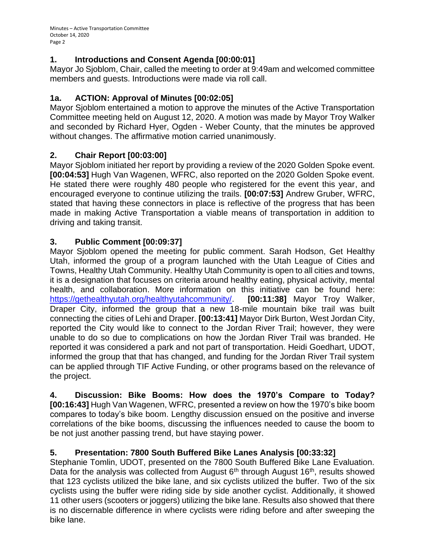## **1. Introductions and Consent Agenda [00:00:01]**

Mayor Jo Sjoblom, Chair, called the meeting to order at 9:49am and welcomed committee members and guests. Introductions were made via roll call.

## **1a. ACTION: Approval of Minutes [00:02:05]**

Mayor Sjoblom entertained a motion to approve the minutes of the Active Transportation Committee meeting held on August 12, 2020. A motion was made by Mayor Troy Walker and seconded by Richard Hyer, Ogden - Weber County, that the minutes be approved without changes. The affirmative motion carried unanimously.

### **2. Chair Report [00:03:00]**

Mayor Sjoblom initiated her report by providing a review of the 2020 Golden Spoke event. **[00:04:53]** Hugh Van Wagenen, WFRC, also reported on the 2020 Golden Spoke event. He stated there were roughly 480 people who registered for the event this year, and encouraged everyone to continue utilizing the trails. **[00:07:53]** Andrew Gruber, WFRC, stated that having these connectors in place is reflective of the progress that has been made in making Active Transportation a viable means of transportation in addition to driving and taking transit.

# **3. Public Comment [00:09:37]**

Mayor Sjoblom opened the meeting for public comment. Sarah Hodson, Get Healthy Utah, informed the group of a program launched with the Utah League of Cities and Towns, Healthy Utah Community. Healthy Utah Community is open to all cities and towns, it is a designation that focuses on criteria around healthy eating, physical activity, mental health, and collaboration. More information on this initiative can be found here: [https://gethealthyutah.org/healthyutahcommunity/.](https://gethealthyutah.org/healthyutahcommunity/) **[00:11:38]** Mayor Troy Walker, Draper City, informed the group that a new 18-mile mountain bike trail was built connecting the cities of Lehi and Draper. **[00:13:41]** Mayor Dirk Burton, West Jordan City, reported the City would like to connect to the Jordan River Trail; however, they were unable to do so due to complications on how the Jordan River Trail was branded. He reported it was considered a park and not part of transportation. Heidi Goedhart, UDOT, informed the group that that has changed, and funding for the Jordan River Trail system can be applied through TIF Active Funding, or other programs based on the relevance of the project.

**4. Discussion: Bike Booms: How does the 1970's Compare to Today? [00:16:43]** Hugh Van Wagenen, WFRC, presented a review on how the 1970's bike boom compares to today's bike boom. Lengthy discussion ensued on the positive and inverse correlations of the bike booms, discussing the influences needed to cause the boom to be not just another passing trend, but have staying power.

# **5. Presentation: 7800 South Buffered Bike Lanes Analysis [00:33:32]**

Stephanie Tomlin, UDOT, presented on the 7800 South Buffered Bike Lane Evaluation. Data for the analysis was collected from August  $6<sup>th</sup>$  through August 16<sup>th</sup>, results showed that 123 cyclists utilized the bike lane, and six cyclists utilized the buffer. Two of the six cyclists using the buffer were riding side by side another cyclist. Additionally, it showed 11 other users (scooters or joggers) utilizing the bike lane. Results also showed that there is no discernable difference in where cyclists were riding before and after sweeping the bike lane.